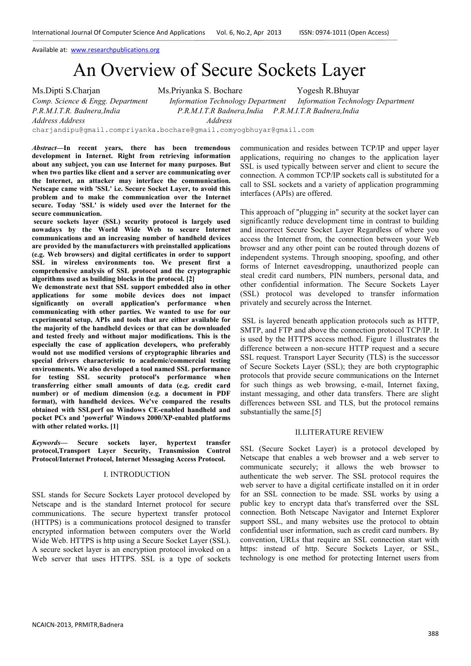# An Overview of Secure Sockets Layer

Ms.Dipti S.Charjan Ms.Priyanka S. Bochare Yogesh R.Bhuyar *Comp. Science & Engg. Department Information Technology Department Information Technology Department P.R.M.I.T.R. Badnera,India P.R.M.I.T.R Badnera,India P.R.M.I.T.R Badnera,India Address Address Address*  charjandipu@gmail.compriyanka.bochare@gmail.comyogbhuyar@gmail.com

*Abstract***—In recent years, there has been tremendous development in Internet. Right from retrieving information about any subject, you can use Internet for many purposes. But when two parties like client and a server are communicating over the Internet, an attacker may interface the communication. Netscape came with 'SSL' i.e. Secure Socket Layer, to avoid this problem and to make the communication over the Internet secure. Today 'SSL' is widely used over the Internet for the secure communication.** 

 **secure sockets layer (SSL) security protocol is largely used nowadays by the World Wide Web to secure Internet communications and an increasing number of handheld devices are provided by the manufacturers with preinstalled applications (e.g. Web browsers) and digital certificates in order to support SSL in wireless environments too. We present first a comprehensive analysis of SSL protocol and the cryptographic algorithms used as building blocks in the protocol. [2]** 

**We demonstrate next that SSL support embedded also in other applications for some mobile devices does not impact significantly on overall application's performance when communicating with other parties. We wanted to use for our experimental setup, APIs and tools that are either available for the majority of the handheld devices or that can be downloaded and tested freely and without major modifications. This is the especially the case of application developers, who preferably would not use modified versions of cryptographic libraries and special drivers characteristic to academic/commercial testing environments. We also developed a tool named SSL performance for testing SSL security protocol's performance when transferring either small amounts of data (e.g. credit card number) or of medium dimension (e.g. a document in PDF format), with handheld devices. We've compared the results obtained with SSLperf on Windows CE-enabled handheld and pocket PCs and 'powerful' Windows 2000/XP-enabled platforms with other related works. [1]** 

*Keywords***— Secure sockets layer, hypertext transfer protocol,Transport Layer Security, Transmission Control Protocol/Internet Protocol, Internet Messaging Access Protocol.** 

# I. INTRODUCTION

SSL stands for Secure Sockets Layer protocol developed by Netscape and is the standard Internet protocol for secure communications. The secure hypertext transfer protocol (HTTPS) is a communications protocol designed to transfer encrypted information between computers over the World Wide Web. HTTPS is http using a Secure Socket Layer (SSL). A secure socket layer is an encryption protocol invoked on a Web server that uses HTTPS. SSL is a type of sockets communication and resides between TCP/IP and upper layer applications, requiring no changes to the application layer SSL is used typically between server and client to secure the connection. A common TCP/IP sockets call is substituted for a call to SSL sockets and a variety of application programming interfaces (APIs) are offered.

This approach of "plugging in" security at the socket layer can significantly reduce development time in contrast to building and incorrect Secure Socket Layer Regardless of where you access the Internet from, the connection between your Web browser and any other point can be routed through dozens of independent systems. Through snooping, spoofing, and other forms of Internet eavesdropping, unauthorized people can steal credit card numbers, PIN numbers, personal data, and other confidential information. The Secure Sockets Layer (SSL) protocol was developed to transfer information privately and securely across the Internet.

 SSL is layered beneath application protocols such as HTTP, SMTP, and FTP and above the connection protocol TCP/IP. It is used by the HTTPS access method. Figure 1 illustrates the difference between a non-secure HTTP request and a secure SSL request. Transport Layer Security (TLS) is the successor of Secure Sockets Layer (SSL); they are both cryptographic protocols that provide secure communications on the Internet for such things as web browsing, e-mail, Internet faxing, instant messaging, and other data transfers. There are slight differences between SSL and TLS, but the protocol remains substantially the same.[5]

#### II.LITERATURE REVIEW

SSL (Secure Socket Layer) is a protocol developed by Netscape that enables a web browser and a web server to communicate securely; it allows the web browser to authenticate the web server. The SSL protocol requires the web server to have a digital certificate installed on it in order for an SSL connection to be made. SSL works by using a public key to encrypt data that's transferred over the SSL connection. Both Netscape Navigator and Internet Explorer support SSL, and many websites use the protocol to obtain confidential user information, such as credit card numbers. By convention, URLs that require an SSL connection start with https: instead of http. Secure Sockets Layer, or SSL, technology is one method for protecting Internet users from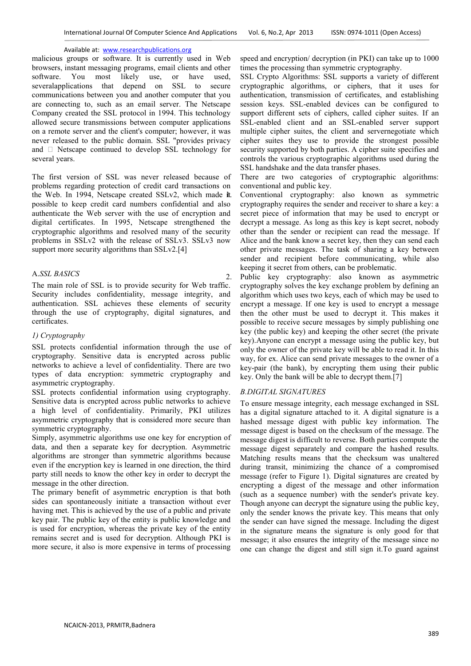malicious groups or software. It is currently used in Web browsers, instant messaging programs, email clients and other software. You most likely use, or have used, severalapplications that depend on SSL to secure communications between you and another computer that you are connecting to, such as an email server. The Netscape Company created the SSL protocol in 1994. This technology allowed secure transmissions between computer applications on a remote server and the client's computer; however, it was never released to the public domain. SSL "provides privacy and @ Netscape continued to develop SSL technology for several years.

The first version of SSL was never released because of problems regarding protection of credit card transactions on the Web. In 1994, Netscape created SSLv2, which made it. possible to keep credit card numbers confidential and also authenticate the Web server with the use of encryption and digital certificates. In 1995, Netscape strengthened the cryptographic algorithms and resolved many of the security problems in SSLv2 with the release of SSLv3. SSLv3 now support more security algorithms than  $SSLv2.[4]$ 

# A.*SSL BASICS*

The main role of SSL is to provide security for Web traffic. Security includes confidentiality, message integrity, and authentication. SSL achieves these elements of security through the use of cryptography, digital signatures, and certificates.

### *1) Cryptography*

SSL protects confidential information through the use of cryptography. Sensitive data is encrypted across public networks to achieve a level of confidentiality. There are two types of data encryption: symmetric cryptography and asymmetric cryptography.

SSL protects confidential information using cryptography. Sensitive data is encrypted across public networks to achieve a high level of confidentiality. Primarily, PKI utilizes asymmetric cryptography that is considered more secure than symmetric cryptography.

Simply, asymmetric algorithms use one key for encryption of data, and then a separate key for decryption. Asymmetric algorithms are stronger than symmetric algorithms because even if the encryption key is learned in one direction, the third party still needs to know the other key in order to decrypt the message in the other direction.

The primary benefit of asymmetric encryption is that both sides can spontaneously initiate a transaction without ever having met. This is achieved by the use of a public and private key pair. The public key of the entity is public knowledge and is used for encryption, whereas the private key of the entity remains secret and is used for decryption. Although PKI is more secure, it also is more expensive in terms of processing

speed and encryption/ decryption (in PKI) can take up to 1000 times the processing than symmetric cryptography.

SSL Crypto Algorithms: SSL supports a variety of different cryptographic algorithms, or ciphers, that it uses for authentication, transmission of certificates, and establishing session keys. SSL-enabled devices can be configured to support different sets of ciphers, called cipher suites. If an SSL-enabled client and an SSL-enabled server support multiple cipher suites, the client and servernegotiate which cipher suites they use to provide the strongest possible security supported by both parties. A cipher suite specifies and controls the various cryptographic algorithms used during the SSL handshake and the data transfer phases.

There are two categories of cryptographic algorithms: conventional and public key.

Conventional cryptography: also known as symmetric cryptography requires the sender and receiver to share a key: a secret piece of information that may be used to encrypt or decrypt a message. As long as this key is kept secret, nobody other than the sender or recipient can read the message. If Alice and the bank know a secret key, then they can send each other private messages. The task of sharing a key between sender and recipient before communicating, while also keeping it secret from others, can be problematic.

2. Public key cryptography: also known as asymmetric cryptography solves the key exchange problem by defining an algorithm which uses two keys, each of which may be used to encrypt a message. If one key is used to encrypt a message then the other must be used to decrypt it. This makes it possible to receive secure messages by simply publishing one key (the public key) and keeping the other secret (the private key).Anyone can encrypt a message using the public key, but only the owner of the private key will be able to read it. In this way, for ex. Alice can send private messages to the owner of a key-pair (the bank), by encrypting them using their public key. Only the bank will be able to decrypt them.[7]

# *B.DIGITAL SIGNATURES*

To ensure message integrity, each message exchanged in SSL has a digital signature attached to it. A digital signature is a hashed message digest with public key information. The message digest is based on the checksum of the message. The message digest is difficult to reverse. Both parties compute the message digest separately and compare the hashed results. Matching results means that the checksum was unaltered during transit, minimizing the chance of a compromised message (refer to Figure 1). Digital signatures are created by encrypting a digest of the message and other information (such as a sequence number) with the sender's private key. Though anyone can decrypt the signature using the public key, only the sender knows the private key. This means that only the sender can have signed the message. Including the digest in the signature means the signature is only good for that message; it also ensures the integrity of the message since no one can change the digest and still sign it.To guard against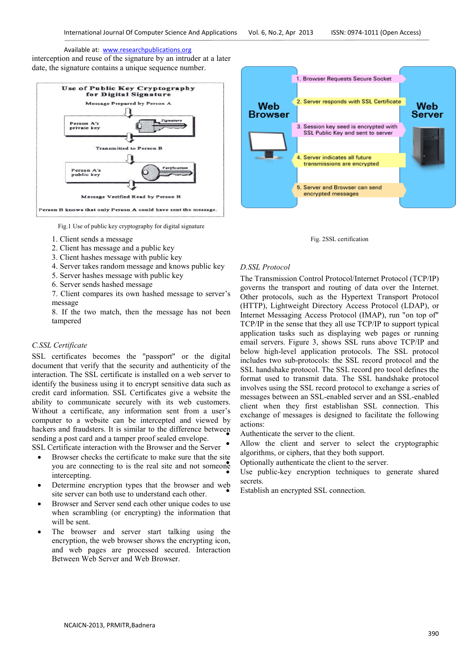interception and reuse of the signature by an intruder at a later date, the signature contains a unique sequence number.



Fig.1 Use of public key cryptography for digital signature

- 1. Client sends a message
- 2. Client has message and a public key
- 3. Client hashes message with public key
- 4. Server takes random message and knows public key
- 5. Server hashes message with public key
- 6. Server sends hashed message

7. Client compares its own hashed message to server's message

8. If the two match, then the message has not been tampered

### *C.SSL Certificate*

SSL certificates becomes the "passport" or the digital document that verify that the security and authenticity of the interaction. The SSL certificate is installed on a web server to identify the business using it to encrypt sensitive data such as credit card information. SSL Certificates give a website the ability to communicate securely with its web customers. Without a certificate, any information sent from a user's computer to a website can be intercepted and viewed by hackers and fraudsters. It is similar to the difference between sending a post card and a tamper proof sealed envelope.

SSL Certificate interaction with the Browser and the Server

- Browser checks the certificate to make sure that the site you are connecting to is the real site and not someone intercepting.
- Determine encryption types that the browser and web site server can both use to understand each other.
- Browser and Server send each other unique codes to use when scrambling (or encrypting) the information that will be sent.
- The browser and server start talking using the encryption, the web browser shows the encrypting icon, and web pages are processed secured. Interaction Between Web Server and Web Browser.



Fig. 2SSL certification

#### *D.SSL Protocol*

The Transmission Control Protocol/Internet Protocol (TCP/IP) governs the transport and routing of data over the Internet. Other protocols, such as the Hypertext Transport Protocol (HTTP), Lightweight Directory Access Protocol (LDAP), or Internet Messaging Access Protocol (IMAP), run "on top of" TCP/IP in the sense that they all use TCP/IP to support typical application tasks such as displaying web pages or running email servers. Figure 3, shows SSL runs above TCP/IP and below high-level application protocols. The SSL protocol includes two sub-protocols: the SSL record protocol and the SSL handshake protocol. The SSL record pro tocol defines the format used to transmit data. The SSL handshake protocol involves using the SSL record protocol to exchange a series of messages between an SSL-enabled server and an SSL-enabled client when they first establishan SSL connection. This exchange of messages is designed to facilitate the following actions:

Authenticate the server to the client.

Allow the client and server to select the cryptographic algorithms, or ciphers, that they both support.

• Optionally authenticate the client to the server.

Use public-key encryption techniques to generate shared secrets.

Establish an encrypted SSL connection.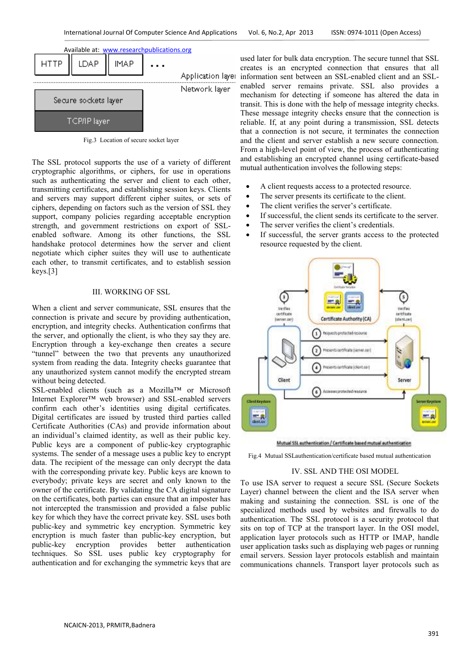

Fig.3 Location of secure socket layer

The SSL protocol supports the use of a variety of different cryptographic algorithms, or ciphers, for use in operations such as authenticating the server and client to each other, transmitting certificates, and establishing session keys. Clients and servers may support different cipher suites, or sets of ciphers, depending on factors such as the version of SSL they support, company policies regarding acceptable encryption strength, and government restrictions on export of SSL enabled software. Among its other functions, the SSL handshake protocol determines how the server and client negotiate which cipher suites they will use to authenticate each other, to transmit certificates, and to establish session keys.[3] The SSL protocol supports the use of a variety of different cryptographic algorithms, or ciphers, for use in operations such as authenticating the server and client to each other, transmitting certificates, and establishin

# III. WORKING OF SSL

When a client and server communicate, SSL ensures that the connection is private and secure by providing authentication, encryption, and integrity checks. Authentication confirms that the server, and optionally the client, is who they say they are. Encryption through a key-exchange then creates a secure "tunnel" between the two that prevents any unauthorized system from reading the data. Integrity checks guarantee that any unauthorized system cannot modify the encrypted stream without being detected. its other functions, the SSL<br>protocol determines how the server and client<br>which cipher suites they will use to authenticate<br>to transmit certificates, and to establish session<br>III. WORKING OF SSL<br>ent and server communicate

SSL-enabled clients (such as a Mozilla™ or Microsoft Internet Explorer™ web browser) and SSL confirm each other's identities using digital certificates. Digital certificates are issued by trusted third parties called Certificate Authorities (CAs) and provide information about an individual's claimed identity, as well as their public key. Public keys are a component of public-key cryptographic systems. The sender of a message uses a public key to encrypt data. The recipient of the message can only decrypt the data with the corresponding private key. Public keys are known to everybody; private keys are secret and only known to the owner of the certificate. By validating the CA digital signature on the certificates, both parties can ensure that an imposter has not intercepted the transmission and provided a false public key for which they have the correct private key. SSL uses both public-key and symmetric key encryption. Symmetric key encryption is much faster than public-key encryption, but public-key encryption provides better authentication techniques. So SSL uses public key cryptography for authentication and for exchanging the symmetric keys that a mauthorized system cannot modify the encrypted stream<br>out being detected.<br>enabled clients (such as a Mozilla™ or Microsoft<br>net Explorer™ web browser) and SSL-enabled servers Certificate Authorities (CAs) and provide information about<br>an individual's claimed identity, as well as their public key.<br>Public keys are a component of public-key cryptographic<br>systems. The sender of a message uses a pub

used later for bulk data encryption. The secure tunnel that SSL creates is an encrypted connection that ensures that all information sent between an SSL enabled server remains private. SSL also provides a enabled server remains private. SSL also provides a mechanism for detecting if someone has altered the data in transit. This is done with the help of message integrity checks. These message integrity checks ensure that the connection is reliable. If, at any point during a transmission, SSL detects that a connection is not secure, it terminates the connection and the client and server establish a new secure connection. From a high-level point of view, the process of authenticating and establishing an encrypted channel using certificate-based mutual authentication involves the following steps: used later for bulk data encryption. The secure tunnel that SSL creates is an encrypted connection that ensures that all<br>information sent between an SSL-enabled client and an SSL-This is done with the help of message integrity checks.<br>message integrity checks ensure that the connection is<br>e. If, at any point during a transmission, SSL detects<br>connection is not secure, it terminates the connection

- A client requests access to a protected resource.
- The server presents its certificate to the client. A client requests access to a protected res<br>The server presents its certificate to the cl<br>The client verifies the server's certificate.
- The client verifies the server's certificate.
- If successful, the client sends its certificate to the server.
- The server verifies the client's credentials.
- If successful, the server grants access to the protected resource requested by the client.



Mutual SSL authentication / Certificate based mutual authentication

Fig.4 Mutual SSLauthentication/certificate based mutual authentication

#### IV. SSL AND THE OSI MODEL

To use ISA server to request a secure SSL (Secure Sockets Layer) channel between the client and the ISA server when making and sustaining the connection. SSL is one of the specialized methods used by websites and firewalls to do authentication. The SSL protocol is a security protocol that sits on top of TCP at the transport layer. In the OSI model, application layer protocols such as HTTP or IMAP, handle user application tasks such as displaying web pages or running email servers. Session layer protocols establish and maintain communications channels. Transport layer protocols such as To use ISA server to request a secure SSL (Secure Sockets Layer) channel between the client and the ISA server when making and sustaining the connection. SSL is one of the specialized methods used by websites and firewalls on top of TCP at the transport layer. In the OSI model, ication layer protocols such as HTTP or IMAP, handle application tasks such as displaying web pages or running il servers. Session layer protocols establish and maint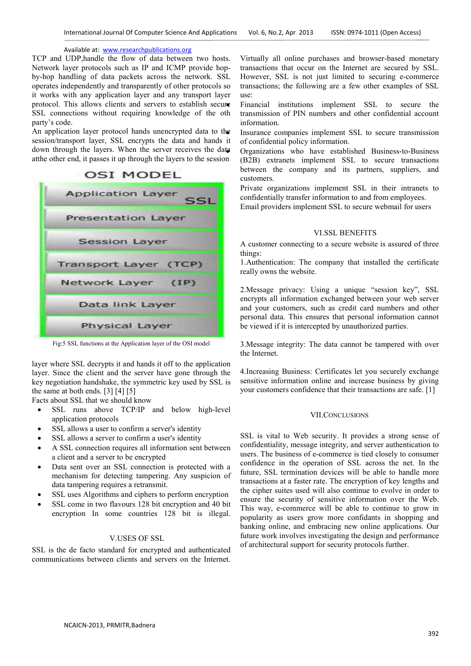TCP and UDP,handle the flow of data between two hosts. Network layer protocols such as IP and ICMP provide hopby-hop handling of data packets across the network. SSL operates independently and transparently of other protocols so it works with any application layer and any transport layer protocol. This allows clients and servers to establish secure SSL connections without requiring knowledge of the oth party's code.

An application layer protocol hands unencrypted data to the session/transport layer, SSL encrypts the data and hands it down through the layers. When the server receives the data atthe other end, it passes it up through the layers to the session



Fig:5 SSL functions at the Application layer of the OSI model

layer where SSL decrypts it and hands it off to the application layer. Since the client and the server have gone through the key negotiation handshake, the symmetric key used by SSL is the same at both ends. [3] [4] [5]

Facts about SSL that we should know

- SSL runs above TCP/IP and below high-level application protocols
- SSL allows a user to confirm a server's identity
- SSL allows a server to confirm a user's identity
- A SSL connection requires all information sent between a client and a server to be encrypted
- Data sent over an SSL connection is protected with a mechanism for detecting tampering. Any suspicion of data tampering requires a retransmit.
- SSL uses Algorithms and ciphers to perform encryption
- SSL come in two flavours 128 bit encryption and 40 bit encryption In some countries 128 bit is illegal.

#### V.USES OF SSL

SSL is the de facto standard for encrypted and authenticated communications between clients and servers on the Internet. Virtually all online purchases and browser-based monetary transactions that occur on the Internet are secured by SSL. However, SSL is not just limited to securing e-commerce transactions; the following are a few other examples of SSL use:

• Financial institutions implement SSL to secure the transmission of PIN numbers and other confidential account information.

Insurance companies implement SSL to secure transmission of confidential policy information.

• Organizations who have established Business-to-Business (B2B) extranets implement SSL to secure transactions between the company and its partners, suppliers, and customers.

• Private organizations implement SSL in their intranets to confidentially transfer information to and from employees.

• Email providers implement SSL to secure webmail for users

#### VI.SSL BENEFITS

A customer connecting to a secure website is assured of three things:

1.Authentication: The company that installed the certificate really owns the website.

2.Message privacy: Using a unique "session key", SSL encrypts all information exchanged between your web server and your customers, such as credit card numbers and other personal data. This ensures that personal information cannot be viewed if it is intercepted by unauthorized parties.

3.Message integrity: The data cannot be tampered with over the Internet.

4.Increasing Business: Certificates let you securely exchange sensitive information online and increase business by giving your customers confidence that their transactions are safe. [1]

#### VII.CONCLUSIONS

SSL is vital to Web security. It provides a strong sense of confidentiality, message integrity, and server authentication to users. The business of e-commerce is tied closely to consumer confidence in the operation of SSL across the net. In the future, SSL termination devices will be able to handle more transactions at a faster rate. The encryption of key lengths and the cipher suites used will also continue to evolve in order to ensure the security of sensitive information over the Web. This way, e-commerce will be able to continue to grow in popularity as users grow more confidants in shopping and banking online, and embracing new online applications. Our future work involves investigating the design and performance of architectural support for security protocols further.